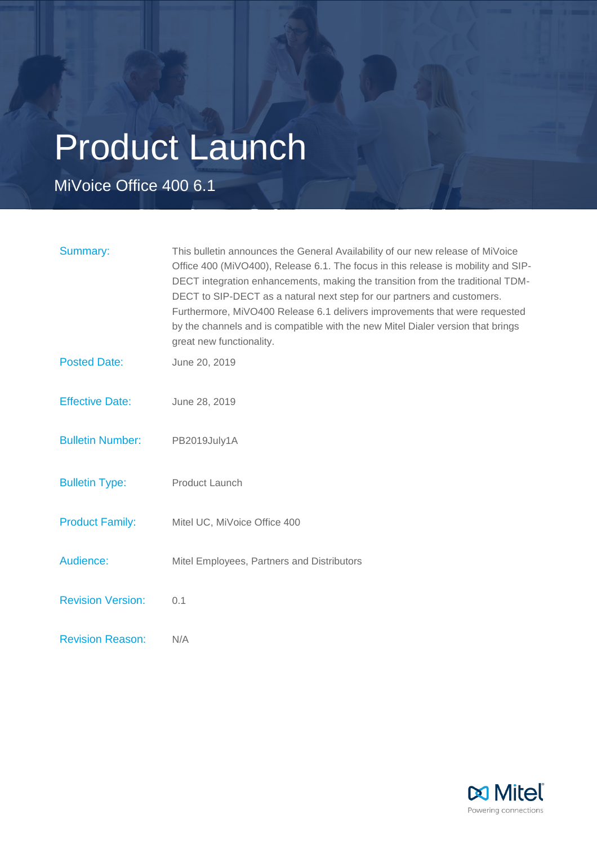# Product Launch

MiVoice Office 400 6.1

| Summary:                 | This bulletin announces the General Availability of our new release of MiVoice<br>Office 400 (MiVO400), Release 6.1. The focus in this release is mobility and SIP-<br>DECT integration enhancements, making the transition from the traditional TDM-<br>DECT to SIP-DECT as a natural next step for our partners and customers.<br>Furthermore, MiVO400 Release 6.1 delivers improvements that were requested<br>by the channels and is compatible with the new Mitel Dialer version that brings<br>great new functionality. |
|--------------------------|-------------------------------------------------------------------------------------------------------------------------------------------------------------------------------------------------------------------------------------------------------------------------------------------------------------------------------------------------------------------------------------------------------------------------------------------------------------------------------------------------------------------------------|
| <b>Posted Date:</b>      | June 20, 2019                                                                                                                                                                                                                                                                                                                                                                                                                                                                                                                 |
| <b>Effective Date:</b>   | June 28, 2019                                                                                                                                                                                                                                                                                                                                                                                                                                                                                                                 |
| <b>Bulletin Number:</b>  | PB2019July1A                                                                                                                                                                                                                                                                                                                                                                                                                                                                                                                  |
| <b>Bulletin Type:</b>    | Product Launch                                                                                                                                                                                                                                                                                                                                                                                                                                                                                                                |
| <b>Product Family:</b>   | Mitel UC, MiVoice Office 400                                                                                                                                                                                                                                                                                                                                                                                                                                                                                                  |
| Audience:                | Mitel Employees, Partners and Distributors                                                                                                                                                                                                                                                                                                                                                                                                                                                                                    |
| <b>Revision Version:</b> | 0.1                                                                                                                                                                                                                                                                                                                                                                                                                                                                                                                           |
| <b>Revision Reason:</b>  | N/A                                                                                                                                                                                                                                                                                                                                                                                                                                                                                                                           |

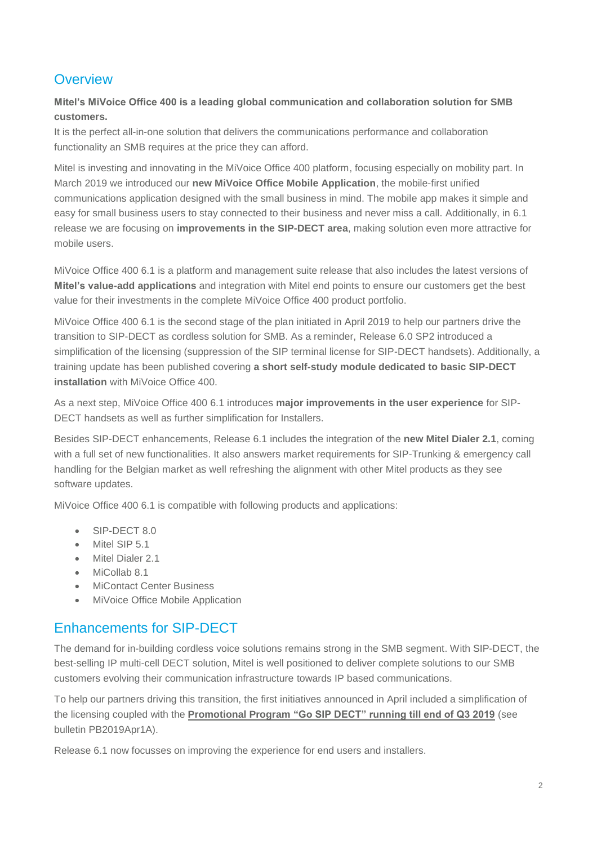# **Overview**

# **Mitel's MiVoice Office 400 is a leading global communication and collaboration solution for SMB customers.**

It is the perfect all-in-one solution that delivers the communications performance and collaboration functionality an SMB requires at the price they can afford.

Mitel is investing and innovating in the MiVoice Office 400 platform, focusing especially on mobility part. In March 2019 we introduced our **new MiVoice Office Mobile Application**, the mobile-first unified communications application designed with the small business in mind. The mobile app makes it simple and easy for small business users to stay connected to their business and never miss a call. Additionally, in 6.1 release we are focusing on **improvements in the SIP-DECT area**, making solution even more attractive for mobile users.

MiVoice Office 400 6.1 is a platform and management suite release that also includes the latest versions of **Mitel's value-add applications** and integration with Mitel end points to ensure our customers get the best value for their investments in the complete MiVoice Office 400 product portfolio.

MiVoice Office 400 6.1 is the second stage of the plan initiated in April 2019 to help our partners drive the transition to SIP-DECT as cordless solution for SMB. As a reminder, Release 6.0 SP2 introduced a simplification of the licensing (suppression of the SIP terminal license for SIP-DECT handsets). Additionally, a training update has been published covering **a short self-study module dedicated to basic SIP-DECT installation** with MiVoice Office 400.

As a next step, MiVoice Office 400 6.1 introduces **major improvements in the user experience** for SIP-DECT handsets as well as further simplification for Installers.

Besides SIP-DECT enhancements, Release 6.1 includes the integration of the **new Mitel Dialer 2.1**, coming with a full set of new functionalities. It also answers market requirements for SIP-Trunking & emergency call handling for the Belgian market as well refreshing the alignment with other Mitel products as they see software updates.

MiVoice Office 400 6.1 is compatible with following products and applications:

- SIP-DECT 8.0
- Mitel SIP 5.1
- Mitel Dialer 2.1
- MiCollab 8.1
- MiContact Center Business
- MiVoice Office Mobile Application

# Enhancements for SIP-DECT

The demand for in-building cordless voice solutions remains strong in the SMB segment. With SIP-DECT, the best-selling IP multi-cell DECT solution, Mitel is well positioned to deliver complete solutions to our SMB customers evolving their communication infrastructure towards IP based communications.

To help our partners driving this transition, the first initiatives announced in April included a simplification of the licensing coupled with the **Promotional Program "Go SIP DECT" running till end of Q3 2019** (see bulletin PB2019Apr1A).

Release 6.1 now focusses on improving the experience for end users and installers.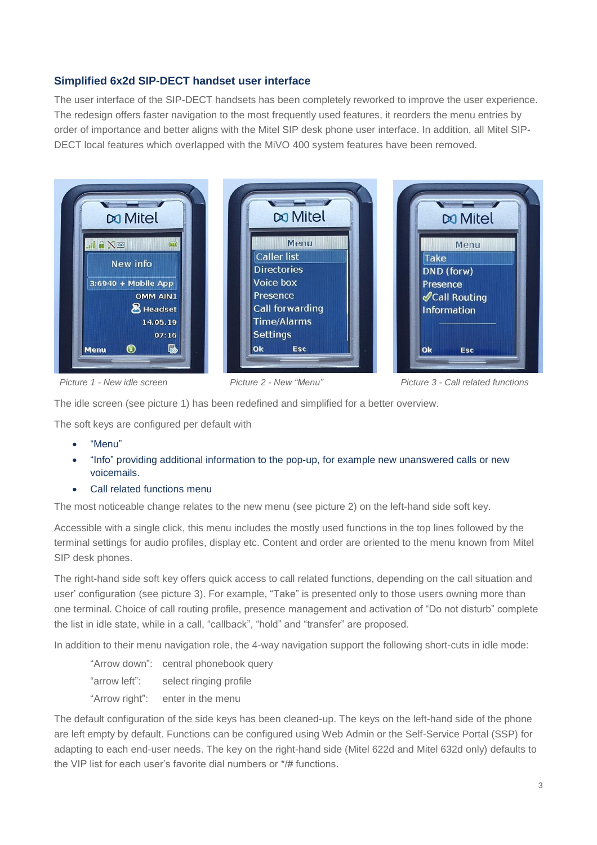# **Simplified 6x2d SIP-DECT handset user interface**

The user interface of the SIP-DECT handsets has been completely reworked to improve the user experience. The redesign offers faster navigation to the most frequently used features, it reorders the menu entries by order of importance and better aligns with the Mitel SIP desk phone user interface. In addition, all Mitel SIP-DECT local features which overlapped with the MiVO 400 system features have been removed.



*Picture 1 - New idle screen Picture 2 - New "Menu" Picture 3 - Call related functions* 

The idle screen (see picture 1) has been redefined and simplified for a better overview.

The soft keys are configured per default with

- "Menu"
- "Info" providing additional information to the pop-up, for example new unanswered calls or new voicemails.
- Call related functions menu

The most noticeable change relates to the new menu (see picture 2) on the left-hand side soft key.

Accessible with a single click, this menu includes the mostly used functions in the top lines followed by the terminal settings for audio profiles, display etc. Content and order are oriented to the menu known from Mitel SIP desk phones.

The right-hand side soft key offers quick access to call related functions, depending on the call situation and user' configuration (see picture 3). For example, "Take" is presented only to those users owning more than one terminal. Choice of call routing profile, presence management and activation of "Do not disturb" complete the list in idle state, while in a call, "callback", "hold" and "transfer" are proposed.

In addition to their menu navigation role, the 4-way navigation support the following short-cuts in idle mode:

|                | "Arrow down": central phonebook query |
|----------------|---------------------------------------|
| "arrow left":  | select ringing profile                |
| "Arrow right": | enter in the menu                     |

The default configuration of the side keys has been cleaned-up. The keys on the left-hand side of the phone are left empty by default. Functions can be configured using Web Admin or the Self-Service Portal (SSP) for adapting to each end-user needs. The key on the right-hand side (Mitel 622d and Mitel 632d only) defaults to the VIP list for each user's favorite dial numbers or \*/# functions.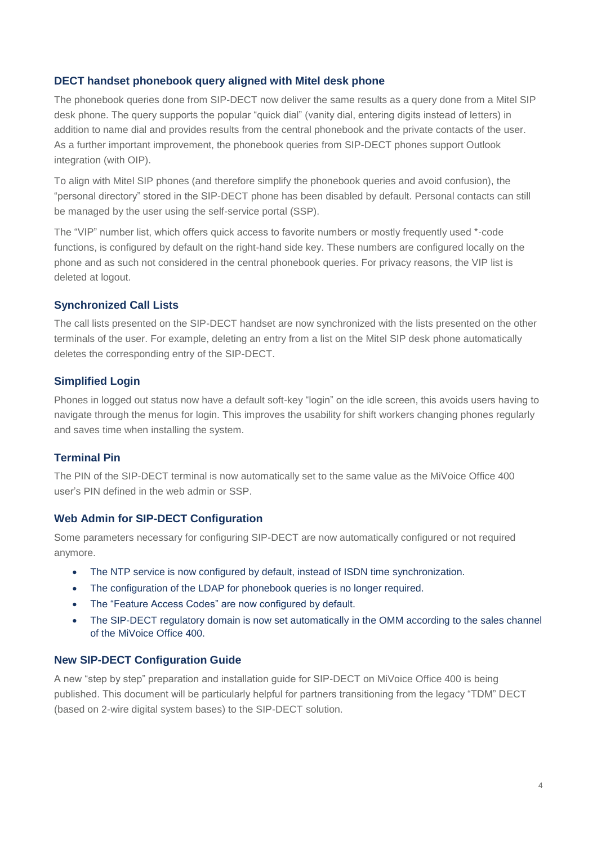## **DECT handset phonebook query aligned with Mitel desk phone**

The phonebook queries done from SIP-DECT now deliver the same results as a query done from a Mitel SIP desk phone. The query supports the popular "quick dial" (vanity dial, entering digits instead of letters) in addition to name dial and provides results from the central phonebook and the private contacts of the user. As a further important improvement, the phonebook queries from SIP-DECT phones support Outlook integration (with OIP).

To align with Mitel SIP phones (and therefore simplify the phonebook queries and avoid confusion), the "personal directory" stored in the SIP-DECT phone has been disabled by default. Personal contacts can still be managed by the user using the self-service portal (SSP).

The "VIP" number list, which offers quick access to favorite numbers or mostly frequently used \*-code functions, is configured by default on the right-hand side key. These numbers are configured locally on the phone and as such not considered in the central phonebook queries. For privacy reasons, the VIP list is deleted at logout.

#### **Synchronized Call Lists**

The call lists presented on the SIP-DECT handset are now synchronized with the lists presented on the other terminals of the user. For example, deleting an entry from a list on the Mitel SIP desk phone automatically deletes the corresponding entry of the SIP-DECT.

### **Simplified Login**

Phones in logged out status now have a default soft-key "login" on the idle screen, this avoids users having to navigate through the menus for login. This improves the usability for shift workers changing phones regularly and saves time when installing the system.

#### **Terminal Pin**

The PIN of the SIP-DECT terminal is now automatically set to the same value as the MiVoice Office 400 user's PIN defined in the web admin or SSP.

#### **Web Admin for SIP-DECT Configuration**

Some parameters necessary for configuring SIP-DECT are now automatically configured or not required anymore.

- The NTP service is now configured by default, instead of ISDN time synchronization.
- The configuration of the LDAP for phonebook queries is no longer required.
- The "Feature Access Codes" are now configured by default.
- The SIP-DECT regulatory domain is now set automatically in the OMM according to the sales channel of the MiVoice Office 400.

#### **New SIP-DECT Configuration Guide**

A new "step by step" preparation and installation guide for SIP-DECT on MiVoice Office 400 is being published. This document will be particularly helpful for partners transitioning from the legacy "TDM" DECT (based on 2-wire digital system bases) to the SIP-DECT solution.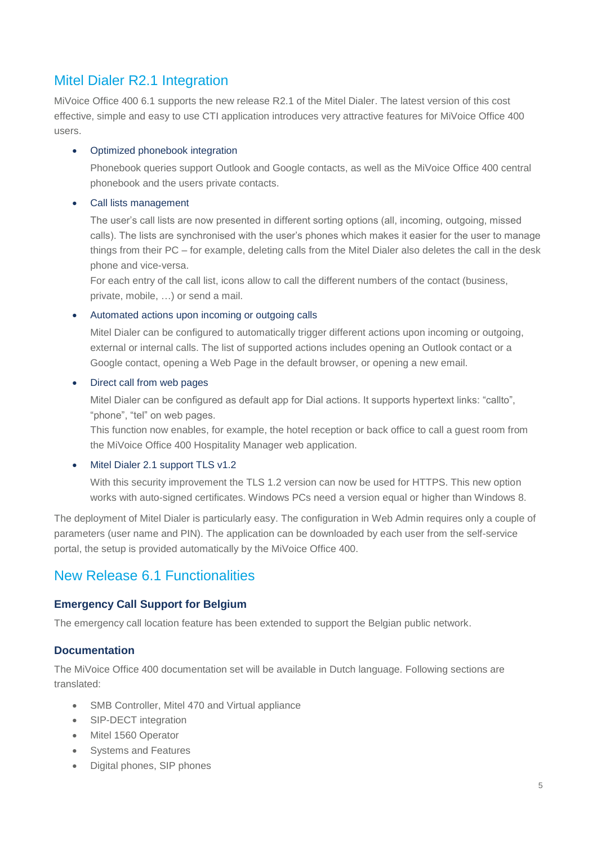# Mitel Dialer R2.1 Integration

MiVoice Office 400 6.1 supports the new release R2.1 of the Mitel Dialer. The latest version of this cost effective, simple and easy to use CTI application introduces very attractive features for MiVoice Office 400 users.

#### • Optimized phonebook integration

Phonebook queries support Outlook and Google contacts, as well as the MiVoice Office 400 central phonebook and the users private contacts.

#### • Call lists management

The user's call lists are now presented in different sorting options (all, incoming, outgoing, missed calls). The lists are synchronised with the user's phones which makes it easier for the user to manage things from their PC – for example, deleting calls from the Mitel Dialer also deletes the call in the desk phone and vice-versa.

For each entry of the call list, icons allow to call the different numbers of the contact (business, private, mobile, …) or send a mail.

### • Automated actions upon incoming or outgoing calls

Mitel Dialer can be configured to automatically trigger different actions upon incoming or outgoing, external or internal calls. The list of supported actions includes opening an Outlook contact or a Google contact, opening a Web Page in the default browser, or opening a new email.

### • Direct call from web pages

Mitel Dialer can be configured as default app for Dial actions. It supports hypertext links: "callto", "phone", "tel" on web pages.

This function now enables, for example, the hotel reception or back office to call a guest room from the MiVoice Office 400 Hospitality Manager web application.

## Mitel Dialer 2.1 support TLS v1.2

With this security improvement the TLS 1.2 version can now be used for HTTPS. This new option works with auto-signed certificates. Windows PCs need a version equal or higher than Windows 8.

The deployment of Mitel Dialer is particularly easy. The configuration in Web Admin requires only a couple of parameters (user name and PIN). The application can be downloaded by each user from the self-service portal, the setup is provided automatically by the MiVoice Office 400.

# New Release 6.1 Functionalities

## **Emergency Call Support for Belgium**

The emergency call location feature has been extended to support the Belgian public network.

## **Documentation**

The MiVoice Office 400 documentation set will be available in Dutch language. Following sections are translated:

- SMB Controller, Mitel 470 and Virtual appliance
- SIP-DECT integration
- Mitel 1560 Operator
- Systems and Features
- Digital phones, SIP phones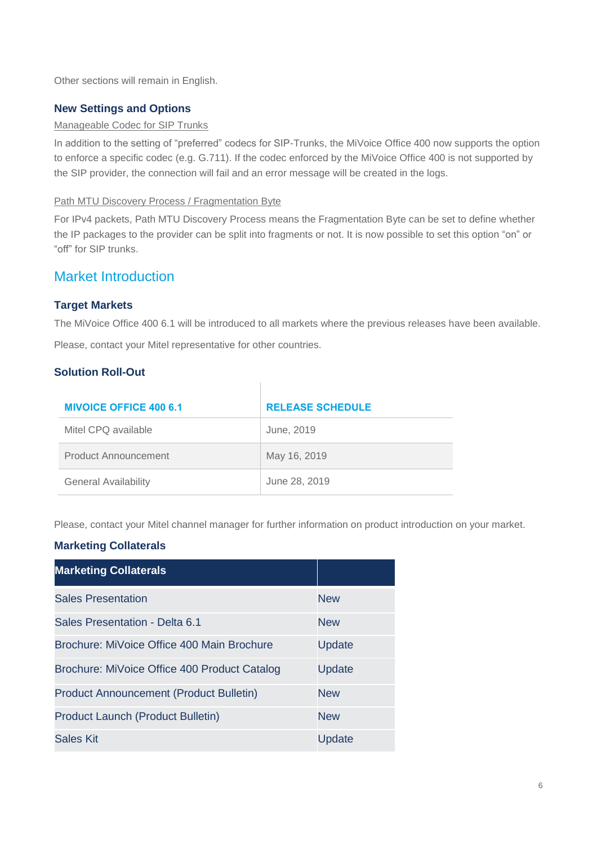Other sections will remain in English.

# **New Settings and Options**

### Manageable Codec for SIP Trunks

In addition to the setting of "preferred" codecs for SIP-Trunks, the MiVoice Office 400 now supports the option to enforce a specific codec (e.g. G.711). If the codec enforced by the MiVoice Office 400 is not supported by the SIP provider, the connection will fail and an error message will be created in the logs.

### Path MTU Discovery Process / Fragmentation Byte

For IPv4 packets, Path MTU Discovery Process means the Fragmentation Byte can be set to define whether the IP packages to the provider can be split into fragments or not. It is now possible to set this option "on" or "off" for SIP trunks.

# Market Introduction

### **Target Markets**

The MiVoice Office 400 6.1 will be introduced to all markets where the previous releases have been available.

Please, contact your Mitel representative for other countries.

# **Solution Roll-Out**

| <b>MIVOICE OFFICE 400 6.1</b> | <b>RELEASE SCHEDULE</b> |
|-------------------------------|-------------------------|
| Mitel CPQ available           | June, 2019              |
| <b>Product Announcement</b>   | May 16, 2019            |
| <b>General Availability</b>   | June 28, 2019           |

Please, contact your Mitel channel manager for further information on product introduction on your market.

## **Marketing Collaterals**

| <b>Marketing Collaterals</b>                   |               |
|------------------------------------------------|---------------|
| <b>Sales Presentation</b>                      | <b>New</b>    |
| Sales Presentation - Delta 6.1                 | <b>New</b>    |
| Brochure: MiVoice Office 400 Main Brochure     | <b>Update</b> |
| Brochure: MiVoice Office 400 Product Catalog   | <b>Update</b> |
| <b>Product Announcement (Product Bulletin)</b> | <b>New</b>    |
| <b>Product Launch (Product Bulletin)</b>       | <b>New</b>    |
| <b>Sales Kit</b>                               | Update        |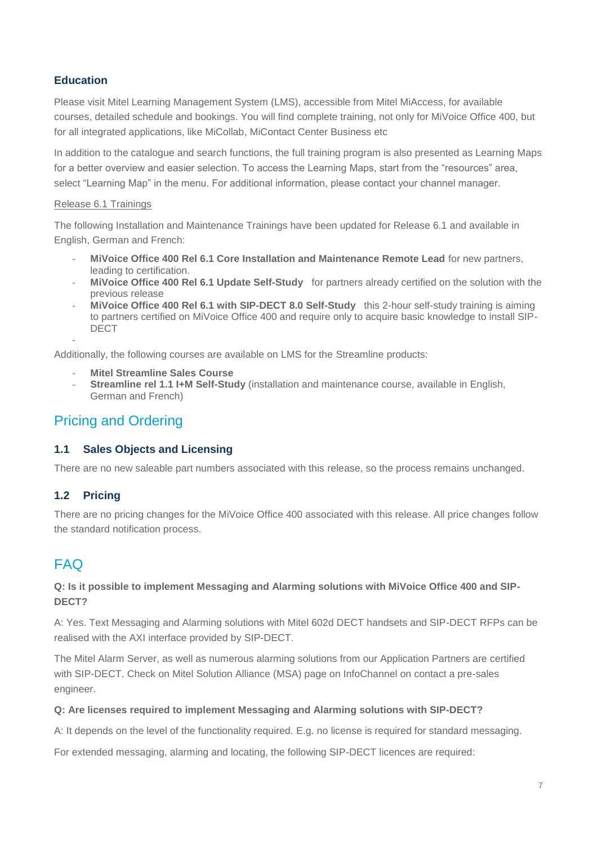# **Education**

Please visit Mitel Learning Management System (LMS), accessible from Mitel MiAccess, for available courses, detailed schedule and bookings. You will find complete training, not only for MiVoice Office 400, but for all integrated applications, like MiCollab, MiContact Center Business etc

In addition to the catalogue and search functions, the full training program is also presented as Learning Maps for a better overview and easier selection. To access the Learning Maps, start from the "resources" area, select "Learning Map" in the menu. For additional information, please contact your channel manager.

#### Release 6.1 Trainings

The following Installation and Maintenance Trainings have been updated for Release 6.1 and available in English, German and French:

- **MiVoice Office 400 Rel 6.1 Core Installation and Maintenance Remote Lead** for new partners, leading to certification.
- **MiVoice Office 400 Rel 6.1 Update Self-Study** for partners already certified on the solution with the previous release
- **MiVoice Office 400 Rel 6.1 with SIP-DECT 8.0 Self-Study** this 2-hour self-study training is aiming to partners certified on MiVoice Office 400 and require only to acquire basic knowledge to install SIP-DECT

Additionally, the following courses are available on LMS for the Streamline products:

- **Mitel Streamline Sales Course**
- **Streamline rel 1.1 I+M Self-Study** (installation and maintenance course, available in English, German and French)

# Pricing and Ordering

## **1.1 Sales Objects and Licensing**

There are no new saleable part numbers associated with this release, so the process remains unchanged.

## **1.2 Pricing**

-

There are no pricing changes for the MiVoice Office 400 associated with this release. All price changes follow the standard notification process.

# FAQ

## **Q: Is it possible to implement Messaging and Alarming solutions with MiVoice Office 400 and SIP-DECT?**

A: Yes. Text Messaging and Alarming solutions with Mitel 602d DECT handsets and SIP-DECT RFPs can be realised with the AXI interface provided by SIP-DECT.

The Mitel Alarm Server, as well as numerous alarming solutions from our Application Partners are certified with SIP-DECT. Check on Mitel Solution Alliance (MSA) page on InfoChannel on contact a pre-sales engineer.

#### **Q: Are licenses required to implement Messaging and Alarming solutions with SIP-DECT?**

A: It depends on the level of the functionality required. E.g. no license is required for standard messaging.

For extended messaging, alarming and locating, the following SIP-DECT licences are required: